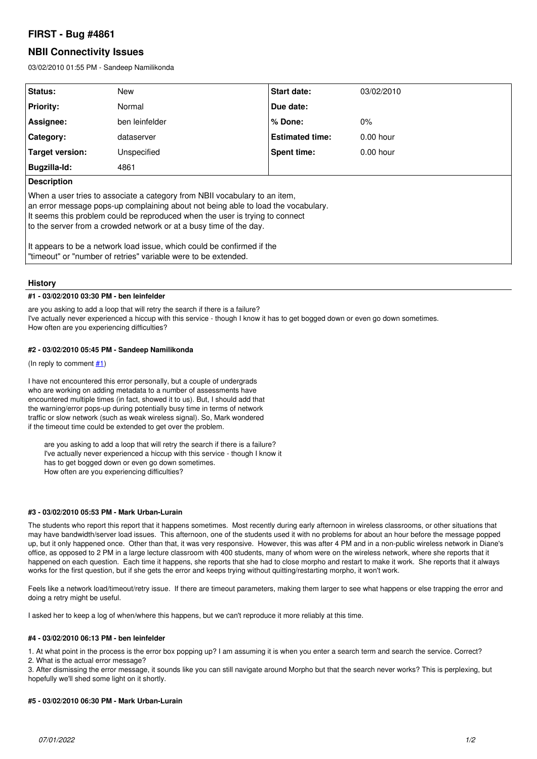# **FIRST - Bug #4861**

# **NBII Connectivity Issues**

03/02/2010 01:55 PM - Sandeep Namilikonda

| Status:                                                                                                                                                                                                                                                                                                               | <b>New</b>     | <b>Start date:</b>     | 03/02/2010  |
|-----------------------------------------------------------------------------------------------------------------------------------------------------------------------------------------------------------------------------------------------------------------------------------------------------------------------|----------------|------------------------|-------------|
| <b>Priority:</b>                                                                                                                                                                                                                                                                                                      | Normal         | Due date:              |             |
| Assignee:                                                                                                                                                                                                                                                                                                             | ben leinfelder | $%$ Done:              | $0\%$       |
| Category:                                                                                                                                                                                                                                                                                                             | dataserver     | <b>Estimated time:</b> | $0.00$ hour |
| Target version:                                                                                                                                                                                                                                                                                                       | Unspecified    | Spent time:            | $0.00$ hour |
| Bugzilla-Id:                                                                                                                                                                                                                                                                                                          | 4861           |                        |             |
| <b>Description</b>                                                                                                                                                                                                                                                                                                    |                |                        |             |
| When a user tries to associate a category from NBII vocabulary to an item,<br>an error message pops-up complaining about not being able to load the vocabulary.<br>It seems this problem could be reproduced when the user is trying to connect<br>to the server from a crowded network or at a busy time of the day. |                |                        |             |
| It appears to be a network load issue, which could be confirmed if the<br>l "timeout" or "number of retries" variable were to be extended.                                                                                                                                                                            |                |                        |             |

## **History**

#### **#1 - 03/02/2010 03:30 PM - ben leinfelder**

are you asking to add a loop that will retry the search if there is a failure? I've actually never experienced a hiccup with this service - though I know it has to get bogged down or even go down sometimes. How often are you experiencing difficulties?

#### **#2 - 03/02/2010 05:45 PM - Sandeep Namilikonda**

(In reply to comment  $#1$ )

I have not encountered this error personally, but a couple of undergrads who are working on adding metadata to a number of assessments have encountered multiple times (in fact, showed it to us). But, I should add that the warning/error pops-up during potentially busy time in terms of network traffic or slow network (such as weak wireless signal). So, Mark wondered if the timeout time could be extended to get over the problem.

are you asking to add a loop that will retry the search if there is a failure? I've actually never experienced a hiccup with this service - though I know it has to get bogged down or even go down sometimes. How often are you experiencing difficulties?

## **#3 - 03/02/2010 05:53 PM - Mark Urban-Lurain**

The students who report this report that it happens sometimes. Most recently during early afternoon in wireless classrooms, or other situations that may have bandwidth/server load issues. This afternoon, one of the students used it with no problems for about an hour before the message popped up, but it only happened once. Other than that, it was very responsive. However, this was after 4 PM and in a non-public wireless network in Diane's office, as opposed to 2 PM in a large lecture classroom with 400 students, many of whom were on the wireless network, where she reports that it happened on each question. Each time it happens, she reports that she had to close morpho and restart to make it work. She reports that it always works for the first question, but if she gets the error and keeps trying without quitting/restarting morpho, it won't work.

Feels like a network load/timeout/retry issue. If there are timeout parameters, making them larger to see what happens or else trapping the error and doing a retry might be useful.

I asked her to keep a log of when/where this happens, but we can't reproduce it more reliably at this time.

#### **#4 - 03/02/2010 06:13 PM - ben leinfelder**

1. At what point in the process is the error box popping up? I am assuming it is when you enter a search term and search the service. Correct? 2. What is the actual error message?

3. After dismissing the error message, it sounds like you can still navigate around Morpho but that the search never works? This is perplexing, but hopefully we'll shed some light on it shortly.

#### **#5 - 03/02/2010 06:30 PM - Mark Urban-Lurain**